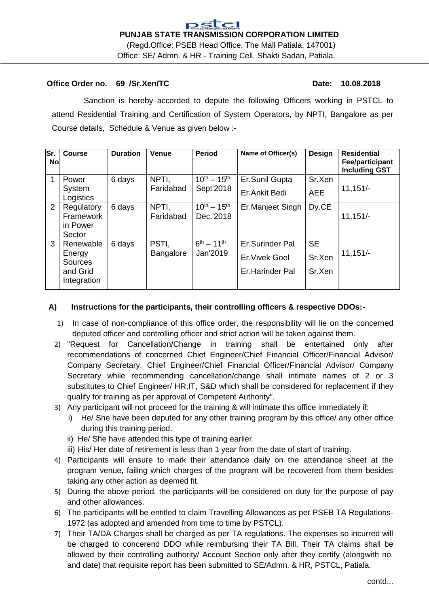## **Office Order no.** 69 /Sr.Xen/TC **Date: 10.08.2018**

Sanction is hereby accorded to depute the following Officers working in PSTCL to attend Residential Training and Certification of System Operators, by NPTI, Bangalore as per Course details, Schedule & Venue as given below :-

| lSr.<br>No | <b>Course</b>                                 | <b>Duration</b> | <b>Venue</b>       | <b>Period</b>                    | Name of Officer(s) | <b>Design</b> | <b>Residential</b><br>Fee/participant<br><b>Including GST</b> |
|------------|-----------------------------------------------|-----------------|--------------------|----------------------------------|--------------------|---------------|---------------------------------------------------------------|
|            | Power                                         | 6 days          | NPTI,              | $10^{th} - 15^{th}$              | Er.Sunil Gupta     | Sr.Xen        |                                                               |
|            | System<br>Logistics                           |                 | Faridabad          | Sept'2018                        | Er.Ankit Bedi      | <b>AEE</b>    | $11,151/-$                                                    |
| 2          | Regulatory<br>Framework<br>in Power<br>Sector | 6 days          | NPTI,<br>Faridabad | $10^{th} - 15^{th}$<br>Dec.'2018 | Er.Manjeet Singh   | Dy.CE         | $11,151/-$                                                    |
| 3          | 6 days<br>Renewable                           | PSTI.           | $6^{th} - 11^{th}$ | Er.Surinder Pal                  | <b>SE</b>          |               |                                                               |
|            | Energy<br>Sources                             |                 | Bangalore          | Jan'2019                         | Er. Vivek Goel     | Sr.Xen        | $11,151/-$                                                    |
|            | and Grid<br>Integration                       |                 |                    |                                  | Er.Harinder Pal    | Sr.Xen        |                                                               |

## **A) Instructions for the participants, their controlling officers & respective DDOs:-**

- 1) In case of non-compliance of this office order, the responsibility will lie on the concerned deputed officer and controlling officer and strict action will be taken against them.
- 2) "Request for Cancellation/Change in training shall be entertained only after recommendations of concerned Chief Engineer/Chief Financial Officer/Financial Advisor/ Company Secretary. Chief Engineer/Chief Financial Officer/Financial Advisor/ Company Secretary while recommending cancellation/change shall intimate names of 2 or 3 substitutes to Chief Engineer/ HR,IT, S&D which shall be considered for replacement if they qualify for training as per approval of Competent Authority".
- 3) Any participant will not proceed for the training & will intimate this office immediately if:
	- i) He/ She have been deputed for any other training program by this office/ any other office during this training period.
	- ii) He/ She have attended this type of training earlier.
	- iii) His/ Her date of retirement is less than 1 year from the date of start of training.
- 4) Participants will ensure to mark their attendance daily on the attendance sheet at the program venue, failing which charges of the program will be recovered from them besides taking any other action as deemed fit.
- 5) During the above period, the participants will be considered on duty for the purpose of pay and other allowances.
- 6) The participants will be entitled to claim Travelling Allowances as per PSEB TA Regulations-1972 (as adopted and amended from time to time by PSTCL).
- 7) Their TA/DA Charges shall be charged as per TA regulations. The expenses so incurred will be charged to concerend DDO while reimbursing their TA Bill. Their TA claims shall be allowed by their controlling authority/ Account Section only after they certify (alongwith no. and date) that requisite report has been submitted to SE/Admn. & HR, PSTCL, Patiala.